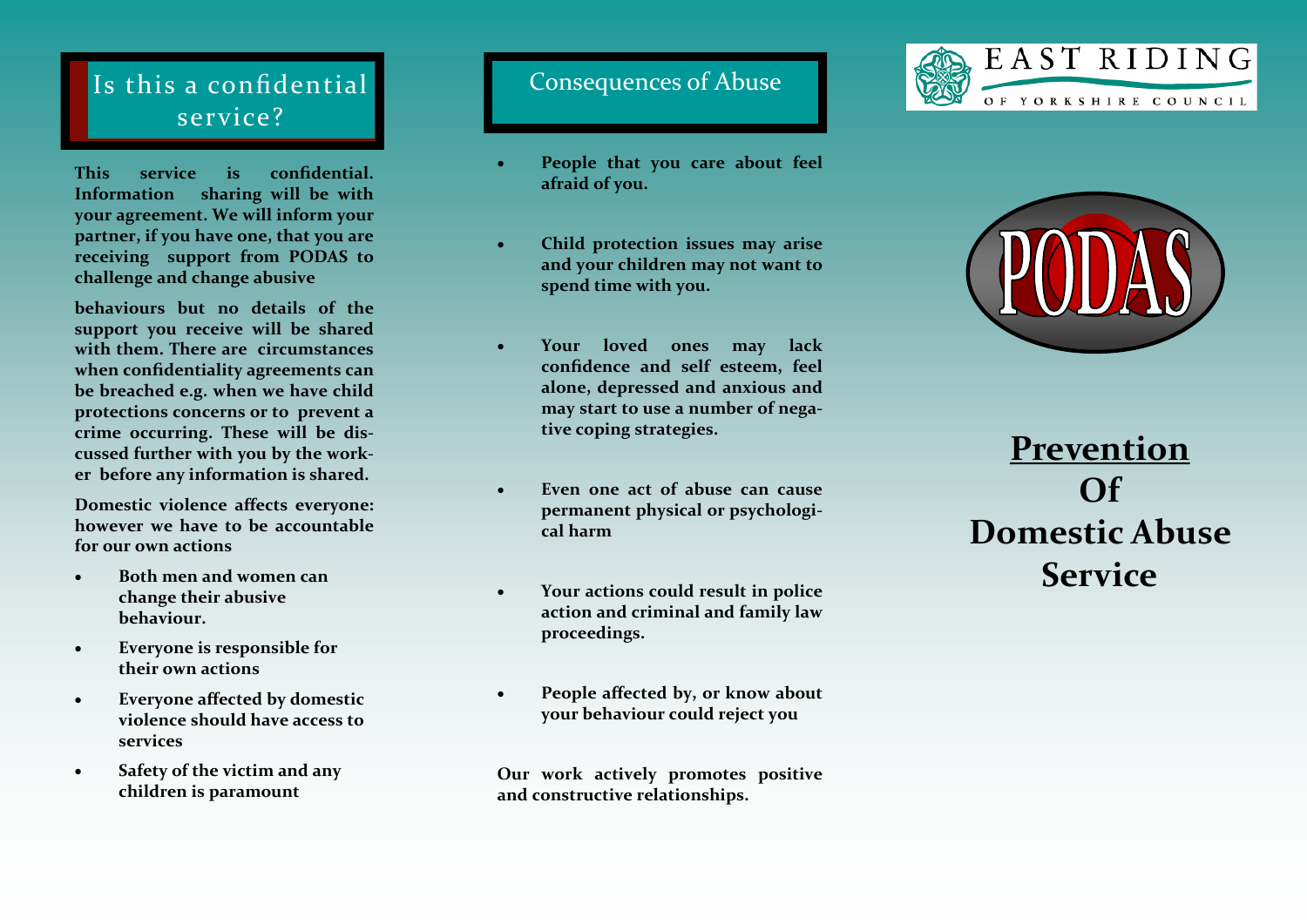## Is this a confidential service?

**This service is confidential. Information sharing will be with your agreement. We will inform your partner, if you have one, that you are receiving support from PODAS to challenge and change abusive** 

**behaviours but no details of the support you receive will be shared with them. There are circumstances when confidentiality agreements can be breached e.g. when we have child protections concerns or to prevent a crime occurring. These will be discussed further with you by the worker before any information is shared.**

**Domestic violence affects everyone: however we have to be accountable for our own actions**

- **Both men and women can change their abusive behaviour.**
- **Everyone is responsible for their own actions**
- **Everyone affected by domestic violence should have access to services**
- **Safety of the victim and any children is paramount**

## Consequences of Abuse

- **People that you care about feel afraid of you.**
- **Child protection issues may arise and your children may not want to spend time with you.**
- **Your loved ones may lack confidence and self esteem, feel alone, depressed and anxious and may start to use a number of negative coping strategies.**
- **Even one act of abuse can cause permanent physical or psychological harm**
- **Your actions could result in police action and criminal and family law proceedings.**
- **People affected by, or know about your behaviour could reject you**

**Our work actively promotes positive and constructive relationships.**





**Prevention Of Domestic Abuse Service**